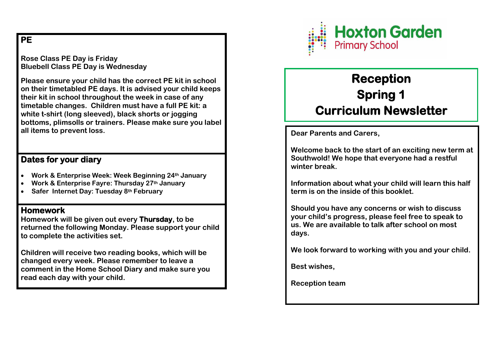## **PE**

**Rose Class PE Day is Friday Bluebell Class PE Day is Wednesday** 

**Please ensure your child has the correct PE kit in school on their timetabled PE days. It is advised your child keeps their kit in school throughout the week in case of any timetable changes. Children must have a full PE kit: a white t-shirt (long sleeved), black shorts or jogging bottoms, plimsolls or trainers. Please make sure you label all items to prevent loss.** 

## **Dates for your diary**

- **Work & Enterprise Week: Week Beginning 24th January**
- **Work & Enterprise Fayre: Thursday 27th January**
- **Safer Internet Day: Tuesday 8th February**

## **Homework**

**Homework will be given out every Thursday, to be returned the following Monday. Please support your child to complete the activities set.** 

**Children will receive two reading books, which will be changed every week. Please remember to leave a comment in the Home School Diary and make sure you read each day with your child.** 



# **Reception Spring 1 Curriculum Newsletter**

**Dear Parents and Carers,** 

**Welcome back to the start of an exciting new term at Southwold! We hope that everyone had a restful winter break.** 

**Information about what your child will learn this half term is on the inside of this booklet.** 

**Should you have any concerns or wish to discuss your child's progress, please feel free to speak to us. We are available to talk after school on most days.** 

**We look forward to working with you and your child.** 

**Best wishes,** 

**Reception team**